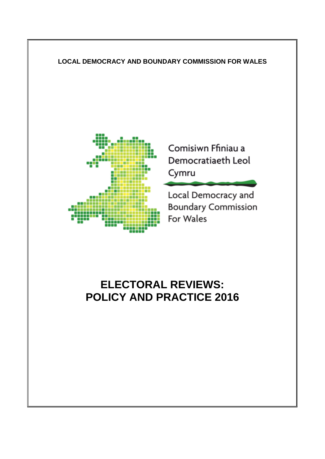# **LOCAL DEMOCRACY AND BOUNDARY COMMISSION FOR WALES**



Comisiwn Ffiniau a Democratiaeth Leol Cymru

Local Democracy and **Boundary Commission** For Wales

### **ELECTORAL REVIEWS: POLICY AND PRACTICE 2016**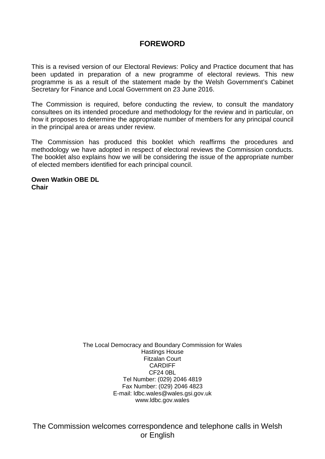### **FOREWORD**

This is a revised version of our Electoral Reviews: Policy and Practice document that has been updated in preparation of a new programme of electoral reviews. This new programme is as a result of the statement made by the Welsh Government's Cabinet Secretary for Finance and Local Government on 23 June 2016.

The Commission is required, before conducting the review, to consult the mandatory consultees on its intended procedure and methodology for the review and in particular, on how it proposes to determine the appropriate number of members for any principal council in the principal area or areas under review.

The Commission has produced this booklet which reaffirms the procedures and methodology we have adopted in respect of electoral reviews the Commission conducts. The booklet also explains how we will be considering the issue of the appropriate number of elected members identified for each principal council.

**Owen Watkin OBE DL Chair**

> The Local Democracy and Boundary Commission for Wales Hastings House Fitzalan Court CARDIFF CF24 0BL Tel Number: (029) 2046 4819 Fax Number: (029) 2046 4823 E-mail: ldbc.wales@wales.gsi.gov.uk www.ldbc.gov.wales

The Commission welcomes correspondence and telephone calls in Welsh or English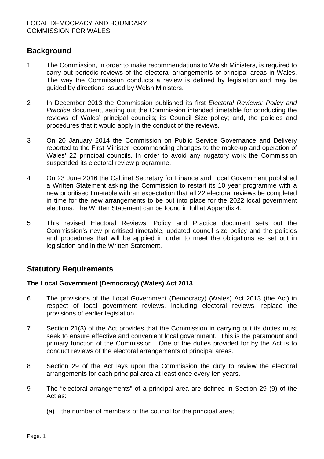### **Background**

- 1 The Commission, in order to make recommendations to Welsh Ministers, is required to carry out periodic reviews of the electoral arrangements of principal areas in Wales. The way the Commission conducts a review is defined by legislation and may be guided by directions issued by Welsh Ministers.
- 2 In December 2013 the Commission published its first *Electoral Reviews: Policy and Practice* document, setting out the Commission intended timetable for conducting the reviews of Wales' principal councils; its Council Size policy; and, the policies and procedures that it would apply in the conduct of the reviews.
- 3 On 20 January 2014 the Commission on Public Service Governance and Delivery reported to the First Minister recommending changes to the make-up and operation of Wales' 22 principal councils. In order to avoid any nugatory work the Commission suspended its electoral review programme.
- 4 On 23 June 2016 the Cabinet Secretary for Finance and Local Government published a Written Statement asking the Commission to restart its 10 year programme with a new prioritised timetable with an expectation that all 22 electoral reviews be completed in time for the new arrangements to be put into place for the 2022 local government elections. The Written Statement can be found in full at Appendix 4.
- 5 This revised Electoral Reviews: Policy and Practice document sets out the Commission's new prioritised timetable, updated council size policy and the policies and procedures that will be applied in order to meet the obligations as set out in legislation and in the Written Statement.

### **Statutory Requirements**

### **The Local Government (Democracy) (Wales) Act 2013**

- 6 The provisions of the Local Government (Democracy) (Wales) Act 2013 (the Act) in respect of local government reviews, including electoral reviews, replace the provisions of earlier legislation.
- 7 Section 21(3) of the Act provides that the Commission in carrying out its duties must seek to ensure effective and convenient local government. This is the paramount and primary function of the Commission. One of the duties provided for by the Act is to conduct reviews of the electoral arrangements of principal areas.
- 8 Section 29 of the Act lays upon the Commission the duty to review the electoral arrangements for each principal area at least once every ten years.
- 9 The "electoral arrangements" of a principal area are defined in Section 29 (9) of the Act as:
	- (a) the number of members of the council for the principal area;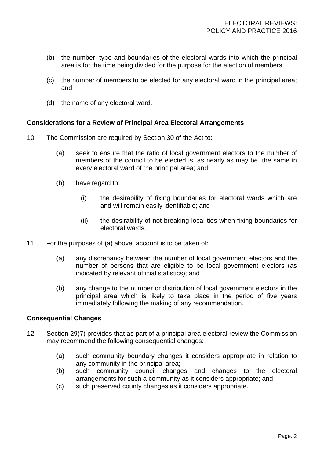- (b) the number, type and boundaries of the electoral wards into which the principal area is for the time being divided for the purpose for the election of members;
- (c) the number of members to be elected for any electoral ward in the principal area; and
- (d) the name of any electoral ward.

### **Considerations for a Review of Principal Area Electoral Arrangements**

- 10 The Commission are required by Section 30 of the Act to:
	- (a) seek to ensure that the ratio of local government electors to the number of members of the council to be elected is, as nearly as may be, the same in every electoral ward of the principal area; and
	- (b) have regard to:
		- (i) the desirability of fixing boundaries for electoral wards which are and will remain easily identifiable; and
		- (ii) the desirability of not breaking local ties when fixing boundaries for electoral wards.
- 11 For the purposes of (a) above, account is to be taken of:
	- (a) any discrepancy between the number of local government electors and the number of persons that are eligible to be local government electors (as indicated by relevant official statistics); and
	- (b) any change to the number or distribution of local government electors in the principal area which is likely to take place in the period of five years immediately following the making of any recommendation.

### **Consequential Changes**

- 12 Section 29(7) provides that as part of a principal area electoral review the Commission may recommend the following consequential changes:
	- (a) such community boundary changes it considers appropriate in relation to any community in the principal area;
	- (b) such community council changes and changes to the electoral arrangements for such a community as it considers appropriate; and
	- (c) such preserved county changes as it considers appropriate.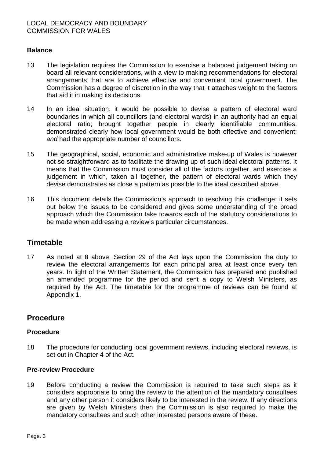### **Balance**

- 13 The legislation requires the Commission to exercise a balanced judgement taking on board all relevant considerations, with a view to making recommendations for electoral arrangements that are to achieve effective and convenient local government. The Commission has a degree of discretion in the way that it attaches weight to the factors that aid it in making its decisions.
- 14 In an ideal situation, it would be possible to devise a pattern of electoral ward boundaries in which all councillors (and electoral wards) in an authority had an equal electoral ratio; brought together people in clearly identifiable communities; demonstrated clearly how local government would be both effective and convenient; *and* had the appropriate number of councillors.
- 15 The geographical, social, economic and administrative make-up of Wales is however not so straightforward as to facilitate the drawing up of such ideal electoral patterns. It means that the Commission must consider all of the factors together, and exercise a judgement in which, taken all together, the pattern of electoral wards which they devise demonstrates as close a pattern as possible to the ideal described above.
- 16 This document details the Commission's approach to resolving this challenge: it sets out below the issues to be considered and gives some understanding of the broad approach which the Commission take towards each of the statutory considerations to be made when addressing a review's particular circumstances.

### **Timetable**

17 As noted at 8 above, Section 29 of the Act lays upon the Commission the duty to review the electoral arrangements for each principal area at least once every ten years. In light of the Written Statement, the Commission has prepared and published an amended programme for the period and sent a copy to Welsh Ministers, as required by the Act. The timetable for the programme of reviews can be found at Appendix 1.

### **Procedure**

### **Procedure**

18 The procedure for conducting local government reviews, including electoral reviews, is set out in Chapter 4 of the Act.

#### **Pre-review Procedure**

19 Before conducting a review the Commission is required to take such steps as it considers appropriate to bring the review to the attention of the mandatory consultees and any other person it considers likely to be interested in the review. If any directions are given by Welsh Ministers then the Commission is also required to make the mandatory consultees and such other interested persons aware of these.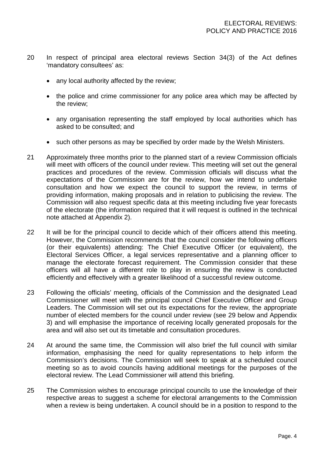- 20 In respect of principal area electoral reviews Section 34(3) of the Act defines 'mandatory consultees' as:
	- any local authority affected by the review;
	- the police and crime commissioner for any police area which may be affected by the review;
	- any organisation representing the staff employed by local authorities which has asked to be consulted; and
	- such other persons as may be specified by order made by the Welsh Ministers.
- 21 Approximately three months prior to the planned start of a review Commission officials will meet with officers of the council under review. This meeting will set out the general practices and procedures of the review. Commission officials will discuss what the expectations of the Commission are for the review, how we intend to undertake consultation and how we expect the council to support the review, in terms of providing information, making proposals and in relation to publicising the review. The Commission will also request specific data at this meeting including five year forecasts of the electorate (the information required that it will request is outlined in the technical note attached at Appendix 2).
- 22 It will be for the principal council to decide which of their officers attend this meeting. However, the Commission recommends that the council consider the following officers (or their equivalents) attending: The Chief Executive Officer (or equivalent), the Electoral Services Officer, a legal services representative and a planning officer to manage the electorate forecast requirement. The Commission consider that these officers will all have a different role to play in ensuring the review is conducted efficiently and effectively with a greater likelihood of a successful review outcome.
- 23 Following the officials' meeting, officials of the Commission and the designated Lead Commissioner will meet with the principal council Chief Executive Officer and Group Leaders. The Commission will set out its expectations for the review, the appropriate number of elected members for the council under review (see 29 below and Appendix 3) and will emphasise the importance of receiving locally generated proposals for the area and will also set out its timetable and consultation procedures.
- 24 At around the same time, the Commission will also brief the full council with similar information, emphasising the need for quality representations to help inform the Commission's decisions. The Commission will seek to speak at a scheduled council meeting so as to avoid councils having additional meetings for the purposes of the electoral review. The Lead Commissioner will attend this briefing.
- 25 The Commission wishes to encourage principal councils to use the knowledge of their respective areas to suggest a scheme for electoral arrangements to the Commission when a review is being undertaken. A council should be in a position to respond to the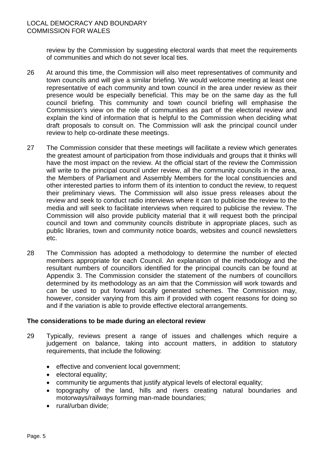review by the Commission by suggesting electoral wards that meet the requirements of communities and which do not sever local ties.

- 26 At around this time, the Commission will also meet representatives of community and town councils and will give a similar briefing. We would welcome meeting at least one representative of each community and town council in the area under review as their presence would be especially beneficial. This may be on the same day as the full council briefing. This community and town council briefing will emphasise the Commission's view on the role of communities as part of the electoral review and explain the kind of information that is helpful to the Commission when deciding what draft proposals to consult on. The Commission will ask the principal council under review to help co-ordinate these meetings.
- 27 The Commission consider that these meetings will facilitate a review which generates the greatest amount of participation from those individuals and groups that it thinks will have the most impact on the review. At the official start of the review the Commission will write to the principal council under review, all the community councils in the area, the Members of Parliament and Assembly Members for the local constituencies and other interested parties to inform them of its intention to conduct the review, to request their preliminary views. The Commission will also issue press releases about the review and seek to conduct radio interviews where it can to publicise the review to the media and will seek to facilitate interviews when required to publicise the review. The Commission will also provide publicity material that it will request both the principal council and town and community councils distribute in appropriate places, such as public libraries, town and community notice boards, websites and council newsletters etc.
- 28 The Commission has adopted a methodology to determine the number of elected members appropriate for each Council. An explanation of the methodology and the resultant numbers of councillors identified for the principal councils can be found at Appendix 3. The Commission consider the statement of the numbers of councillors determined by its methodology as an aim that the Commission will work towards and can be used to put forward locally generated schemes. The Commission may, however, consider varying from this aim if provided with cogent reasons for doing so and if the variation is able to provide effective electoral arrangements.

### **The considerations to be made during an electoral review**

- 29 Typically, reviews present a range of issues and challenges which require a judgement on balance, taking into account matters, in addition to statutory requirements, that include the following:
	- effective and convenient local government;
	- electoral equality;
	- community tie arguments that justify atypical levels of electoral equality;
	- topography of the land, hills and rivers creating natural boundaries and motorways/railways forming man-made boundaries;
	- rural/urban divide: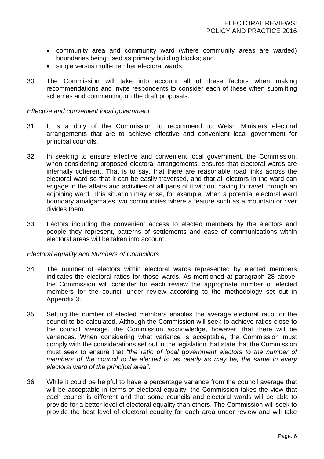- community area and community ward (where community areas are warded) boundaries being used as primary building blocks; and,
- single versus multi-member electoral wards.
- 30 The Commission will take into account all of these factors when making recommendations and invite respondents to consider each of these when submitting schemes and commenting on the draft proposals.

#### *Effective and convenient local government*

- 31 It is a duty of the Commission to recommend to Welsh Ministers electoral arrangements that are to achieve effective and convenient local government for principal councils.
- 32 In seeking to ensure effective and convenient local government, the Commission, when considering proposed electoral arrangements, ensures that electoral wards are internally coherent. That is to say, that there are reasonable road links across the electoral ward so that it can be easily traversed, and that all electors in the ward can engage in the affairs and activities of all parts of it without having to travel through an adjoining ward. This situation may arise, for example, when a potential electoral ward boundary amalgamates two communities where a feature such as a mountain or river divides them.
- 33 Factors including the convenient access to elected members by the electors and people they represent, patterns of settlements and ease of communications within electoral areas will be taken into account.

#### *Electoral equality and Numbers of Councillors*

- 34 The number of electors within electoral wards represented by elected members indicates the electoral ratios for those wards. As mentioned at paragraph 28 above, the Commission will consider for each review the appropriate number of elected members for the council under review according to the methodology set out in Appendix 3.
- 35 Setting the number of elected members enables the average electoral ratio for the council to be calculated. Although the Commission will seek to achieve ratios close to the council average, the Commission acknowledge, however, that there will be variances. When considering what variance is acceptable, the Commission must comply with the considerations set out in the legislation that state that the Commission must seek to ensure that *"the ratio of local government electors to the number of members of the council to be elected is, as nearly as may be, the same in every electoral ward of the principal area"*.
- 36 While it could be helpful to have a percentage variance from the council average that will be acceptable in terms of electoral equality, the Commission takes the view that each council is different and that some councils and electoral wards will be able to provide for a better level of electoral equality than others. The Commission will seek to provide the best level of electoral equality for each area under review and will take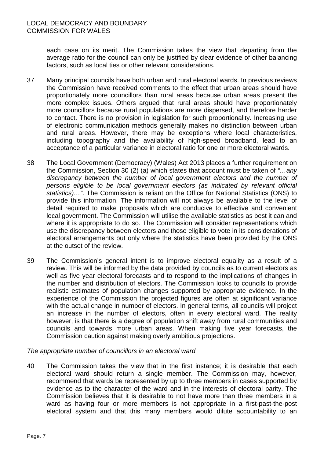each case on its merit. The Commission takes the view that departing from the average ratio for the council can only be justified by clear evidence of other balancing factors, such as local ties or other relevant considerations.

- 37 Many principal councils have both urban and rural electoral wards. In previous reviews the Commission have received comments to the effect that urban areas should have proportionately more councillors than rural areas because urban areas present the more complex issues. Others argued that rural areas should have proportionately more councillors because rural populations are more dispersed, and therefore harder to contact. There is no provision in legislation for such proportionality. Increasing use of electronic communication methods generally makes no distinction between urban and rural areas. However, there may be exceptions where local characteristics, including topography and the availability of high-speed broadband, lead to an acceptance of a particular variance in electoral ratio for one or more electoral wards.
- 38 The Local Government (Democracy) (Wales) Act 2013 places a further requirement on the Commission, Section 30 (2) (a) which states that account must be taken of *"…any*  discrepancy between the number of local government electors and the number of *persons eligible to be local government electors (as indicated by relevant official statistics)…"*. The Commission is reliant on the Office for National Statistics (ONS) to provide this information. The information will not always be available to the level of detail required to make proposals which are conducive to effective and convenient local government. The Commission will utilise the available statistics as best it can and where it is appropriate to do so. The Commission will consider representations which use the discrepancy between electors and those eligible to vote in its considerations of electoral arrangements but only where the statistics have been provided by the ONS at the outset of the review.
- 39 The Commission's general intent is to improve electoral equality as a result of a review. This will be informed by the data provided by councils as to current electors as well as five year electoral forecasts and to respond to the implications of changes in the number and distribution of electors. The Commission looks to councils to provide realistic estimates of population changes supported by appropriate evidence. In the experience of the Commission the projected figures are often at significant variance with the actual change in number of electors. In general terms, all councils will project an increase in the number of electors, often in every electoral ward. The reality however, is that there is a degree of population shift away from rural communities and councils and towards more urban areas. When making five year forecasts, the Commission caution against making overly ambitious projections.

### *The appropriate number of councillors in an electoral ward*

40 The Commission takes the view that in the first instance; it is desirable that each electoral ward should return a single member. The Commission may, however, recommend that wards be represented by up to three members in cases supported by evidence as to the character of the ward and in the interests of electoral parity. The Commission believes that it is desirable to not have more than three members in a ward as having four or more members is not appropriate in a first-past-the-post electoral system and that this many members would dilute accountability to an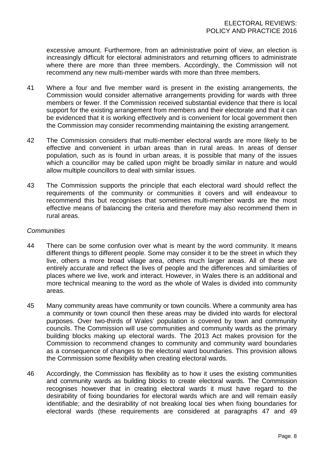excessive amount. Furthermore, from an administrative point of view, an election is increasingly difficult for electoral administrators and returning officers to administrate where there are more than three members. Accordingly, the Commission will not recommend any new multi-member wards with more than three members.

- 41 Where a four and five member ward is present in the existing arrangements, the Commission would consider alternative arrangements providing for wards with three members or fewer. If the Commission received substantial evidence that there is local support for the existing arrangement from members and their electorate and that it can be evidenced that it is working effectively and is convenient for local government then the Commission may consider recommending maintaining the existing arrangement.
- 42 The Commission considers that multi-member electoral wards are more likely to be effective and convenient in urban areas than in rural areas. In areas of denser population, such as is found in urban areas, it is possible that many of the issues which a councillor may be called upon might be broadly similar in nature and would allow multiple councillors to deal with similar issues.
- 43 The Commission supports the principle that each electoral ward should reflect the requirements of the community or communities it covers and will endeavour to recommend this but recognises that sometimes multi-member wards are the most effective means of balancing the criteria and therefore may also recommend them in rural areas.

#### *Communities*

- 44 There can be some confusion over what is meant by the word community. It means different things to different people. Some may consider it to be the street in which they live, others a more broad village area, others much larger areas. All of these are entirely accurate and reflect the lives of people and the differences and similarities of places where we live, work and interact. However, in Wales there is an additional and more technical meaning to the word as the whole of Wales is divided into community areas.
- 45 Many community areas have community or town councils. Where a community area has a community or town council then these areas may be divided into wards for electoral purposes. Over two-thirds of Wales' population is covered by town and community councils. The Commission will use communities and community wards as the primary building blocks making up electoral wards. The 2013 Act makes provision for the Commission to recommend changes to community and community ward boundaries as a consequence of changes to the electoral ward boundaries. This provision allows the Commission some flexibility when creating electoral wards.
- 46 Accordingly, the Commission has flexibility as to how it uses the existing communities and community wards as building blocks to create electoral wards. The Commission recognises however that in creating electoral wards it must have regard to the desirability of fixing boundaries for electoral wards which are and will remain easily identifiable; and the desirability of not breaking local ties when fixing boundaries for electoral wards (these requirements are considered at paragraphs 47 and 49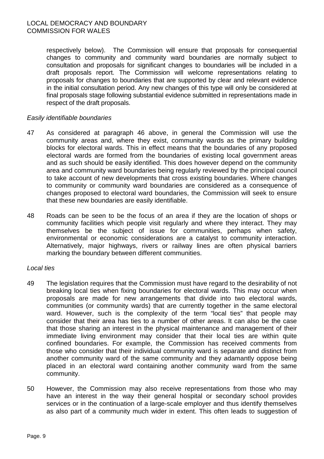#### LOCAL DEMOCRACY AND BOUNDARY COMMISSION FOR WALES

respectively below). The Commission will ensure that proposals for consequential changes to community and community ward boundaries are normally subject to consultation and proposals for significant changes to boundaries will be included in a draft proposals report. The Commission will welcome representations relating to proposals for changes to boundaries that are supported by clear and relevant evidence in the initial consultation period. Any new changes of this type will only be considered at final proposals stage following substantial evidence submitted in representations made in respect of the draft proposals.

### *Easily identifiable boundaries*

- 47 As considered at paragraph 46 above, in general the Commission will use the community areas and, where they exist, community wards as the primary building blocks for electoral wards. This in effect means that the boundaries of any proposed electoral wards are formed from the boundaries of existing local government areas and as such should be easily identified. This does however depend on the community area and community ward boundaries being regularly reviewed by the principal council to take account of new developments that cross existing boundaries. Where changes to community or community ward boundaries are considered as a consequence of changes proposed to electoral ward boundaries, the Commission will seek to ensure that these new boundaries are easily identifiable.
- 48 Roads can be seen to be the focus of an area if they are the location of shops or community facilities which people visit regularly and where they interact. They may themselves be the subject of issue for communities, perhaps when safety, environmental or economic considerations are a catalyst to community interaction. Alternatively, major highways, rivers or railway lines are often physical barriers marking the boundary between different communities.

#### *Local ties*

- 49 The legislation requires that the Commission must have regard to the desirability of not breaking local ties when fixing boundaries for electoral wards. This may occur when proposals are made for new arrangements that divide into two electoral wards, communities (or community wards) that are currently together in the same electoral ward. However, such is the complexity of the term "local ties" that people may consider that their area has ties to a number of other areas. It can also be the case that those sharing an interest in the physical maintenance and management of their immediate living environment may consider that their local ties are within quite confined boundaries. For example, the Commission has received comments from those who consider that their individual community ward is separate and distinct from another community ward of the same community and they adamantly oppose being placed in an electoral ward containing another community ward from the same community.
- 50 However, the Commission may also receive representations from those who may have an interest in the way their general hospital or secondary school provides services or in the continuation of a large-scale employer and thus identify themselves as also part of a community much wider in extent. This often leads to suggestion of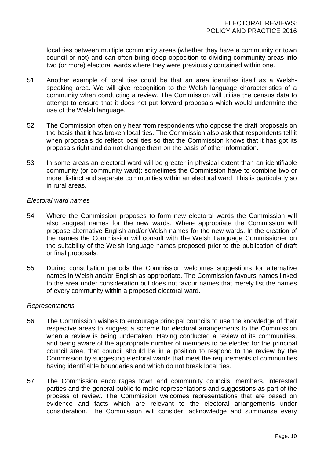local ties between multiple community areas (whether they have a community or town council or not) and can often bring deep opposition to dividing community areas into two (or more) electoral wards where they were previously contained within one.

- 51 Another example of local ties could be that an area identifies itself as a Welshspeaking area. We will give recognition to the Welsh language characteristics of a community when conducting a review. The Commission will utilise the census data to attempt to ensure that it does not put forward proposals which would undermine the use of the Welsh language.
- 52 The Commission often only hear from respondents who oppose the draft proposals on the basis that it has broken local ties. The Commission also ask that respondents tell it when proposals do reflect local ties so that the Commission knows that it has got its proposals right and do not change them on the basis of other information.
- 53 In some areas an electoral ward will be greater in physical extent than an identifiable community (or community ward): sometimes the Commission have to combine two or more distinct and separate communities within an electoral ward. This is particularly so in rural areas.

#### *Electoral ward names*

- 54 Where the Commission proposes to form new electoral wards the Commission will also suggest names for the new wards. Where appropriate the Commission will propose alternative English and/or Welsh names for the new wards. In the creation of the names the Commission will consult with the Welsh Language Commissioner on the suitability of the Welsh language names proposed prior to the publication of draft or final proposals.
- 55 During consultation periods the Commission welcomes suggestions for alternative names in Welsh and/or English as appropriate. The Commission favours names linked to the area under consideration but does not favour names that merely list the names of every community within a proposed electoral ward.

#### *Representations*

- 56 The Commission wishes to encourage principal councils to use the knowledge of their respective areas to suggest a scheme for electoral arrangements to the Commission when a review is being undertaken. Having conducted a review of its communities, and being aware of the appropriate number of members to be elected for the principal council area, that council should be in a position to respond to the review by the Commission by suggesting electoral wards that meet the requirements of communities having identifiable boundaries and which do not break local ties.
- 57 The Commission encourages town and community councils, members, interested parties and the general public to make representations and suggestions as part of the process of review. The Commission welcomes representations that are based on evidence and facts which are relevant to the electoral arrangements under consideration. The Commission will consider, acknowledge and summarise every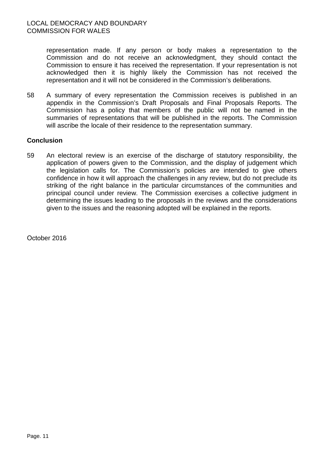representation made. If any person or body makes a representation to the Commission and do not receive an acknowledgment, they should contact the Commission to ensure it has received the representation. If your representation is not acknowledged then it is highly likely the Commission has not received the representation and it will not be considered in the Commission's deliberations.

58 A summary of every representation the Commission receives is published in an appendix in the Commission's Draft Proposals and Final Proposals Reports. The Commission has a policy that members of the public will not be named in the summaries of representations that will be published in the reports. The Commission will ascribe the locale of their residence to the representation summary.

### **Conclusion**

59 An electoral review is an exercise of the discharge of statutory responsibility, the application of powers given to the Commission, and the display of judgement which the legislation calls for. The Commission's policies are intended to give others confidence in how it will approach the challenges in any review, but do not preclude its striking of the right balance in the particular circumstances of the communities and principal council under review. The Commission exercises a collective judgment in determining the issues leading to the proposals in the reviews and the considerations given to the issues and the reasoning adopted will be explained in the reports.

October 2016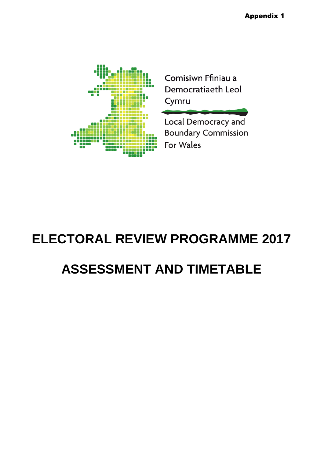

## **ELECTORAL REVIEW PROGRAMME 2017 ASSESSMENT AND TIMETABLE**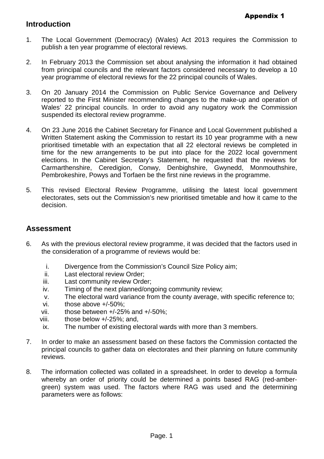### **Introduction**

- 1. The Local Government (Democracy) (Wales) Act 2013 requires the Commission to publish a ten year programme of electoral reviews.
- 2. In February 2013 the Commission set about analysing the information it had obtained from principal councils and the relevant factors considered necessary to develop a 10 year programme of electoral reviews for the 22 principal councils of Wales.
- 3. On 20 January 2014 the Commission on Public Service Governance and Delivery reported to the First Minister recommending changes to the make-up and operation of Wales' 22 principal councils. In order to avoid any nugatory work the Commission suspended its electoral review programme.
- 4. On 23 June 2016 the Cabinet Secretary for Finance and Local Government published a Written Statement asking the Commission to restart its 10 year programme with a new prioritised timetable with an expectation that all 22 electoral reviews be completed in time for the new arrangements to be put into place for the 2022 local government elections. In the Cabinet Secretary's Statement, he requested that the reviews for Carmarthenshire, Ceredigion, Conwy, Denbighshire, Gwynedd, Monmouthshire, Pembrokeshire, Powys and Torfaen be the first nine reviews in the programme.
- 5. This revised Electoral Review Programme, utilising the latest local government electorates, sets out the Commission's new prioritised timetable and how it came to the decision.

### **Assessment**

- 6. As with the previous electoral review programme, it was decided that the factors used in the consideration of a programme of reviews would be:
	- i. Divergence from the Commission's Council Size Policy aim;
	- ii. Last electoral review Order;
	- iii. Last community review Order;
	- iv. Timing of the next planned/ongoing community review;
	- v. The electoral ward variance from the county average, with specific reference to;
	- vi. those above +/-50%;
	- vii. those between +/-25% and +/-50%;
	- viii. those below +/-25%; and,
	- ix. The number of existing electoral wards with more than 3 members.
- 7. In order to make an assessment based on these factors the Commission contacted the principal councils to gather data on electorates and their planning on future community reviews.
- 8. The information collected was collated in a spreadsheet. In order to develop a formula whereby an order of priority could be determined a points based RAG (red-ambergreen) system was used. The factors where RAG was used and the determining parameters were as follows: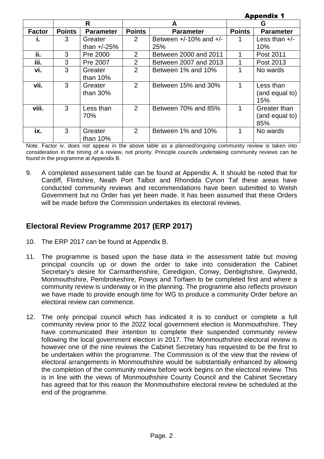|               | Аррепатх т    |                       |                |                             |               |                       |  |  |
|---------------|---------------|-----------------------|----------------|-----------------------------|---------------|-----------------------|--|--|
|               |               | R                     |                | A                           | G             |                       |  |  |
| <b>Factor</b> | <b>Points</b> | <b>Parameter</b>      | <b>Points</b>  | <b>Parameter</b>            | <b>Points</b> | <b>Parameter</b>      |  |  |
| ı.            | 3             | Greater               | 2              | Between $+/-10\%$ and $+/-$ |               | Less than $+/-$       |  |  |
|               |               | than $+/-25%$         |                | 25%                         |               | 10%                   |  |  |
| ii.           | 3             | Pre 2000              | 2              | Between 2000 and 2011       | 1             | Post 2011             |  |  |
| iii.          | 3             | Pre 2007              | $\overline{2}$ | Between 2007 and 2013       |               | Post 2013             |  |  |
| vi.           | 3             | Greater               | $\overline{2}$ | Between 1% and 10%          |               | No wards              |  |  |
|               |               | than $10\%$           |                |                             |               |                       |  |  |
| vii.          | 3             | Greater               | 2              | Between 15% and 30%         | 1             | Less than             |  |  |
|               |               | than $30\%$           |                |                             |               | (and equal to)<br>15% |  |  |
| viii.         | 3             | Less than             | 2              | Between 70% and 85%         | 1             | Greater than          |  |  |
|               |               | 70%                   |                |                             |               | (and equal to)        |  |  |
|               |               |                       |                |                             |               | 85%                   |  |  |
| ix.           | 3             | Greater<br>than $10%$ | 2              | Between 1% and 10%          | 1             | No wards              |  |  |

Appendix  $\boldsymbol{A}$ 

Note. Factor iv. does not appear in the above table as a planned/ongoing community review is taken into consideration in the timing of a review, not priority. Principle councils undertaking community reviews can be found in the programme at Appendix B.

9. A completed assessment table can be found at Appendix A. It should be noted that for Cardiff, Flintshire, Neath Port Talbot and Rhondda Cynon Taf these areas have conducted community reviews and recommendations have been submitted to Welsh Government but no Order has yet been made. It has been assumed that these Orders will be made before the Commission undertakes its electoral reviews.

### **Electoral Review Programme 2017 (ERP 2017)**

- 10. The ERP 2017 can be found at Appendix B.
- 11. The programme is based upon the base data in the assessment table but moving principal councils up or down the order to take into consideration the Cabinet Secretary's desire for Carmarthenshire, Ceredigion, Conwy, Denbighshire, Gwynedd, Monmouthshire, Pembrokeshire, Powys and Torfaen to be completed first and where a community review is underway or in the planning. The programme also reflects provision we have made to provide enough time for WG to produce a community Order before an electoral review can commence.
- 12. The only principal council which has indicated it is to conduct or complete a full community review prior to the 2022 local government election is Monmouthshire. They have communicated their intention to complete their suspended community review following the local government election in 2017. The Monmouthshire electoral review is however one of the nine reviews the Cabinet Secretary has requested to be the first to be undertaken within the programme. The Commission is of the view that the review of electoral arrangements in Monmouthshire would be substantially enhanced by allowing the completion of the community review before work begins on the electoral review. This is in line with the views of Monmouthshire County Council and the Cabinet Secretary has agreed that for this reason the Monmouthshire electoral review be scheduled at the end of the programme.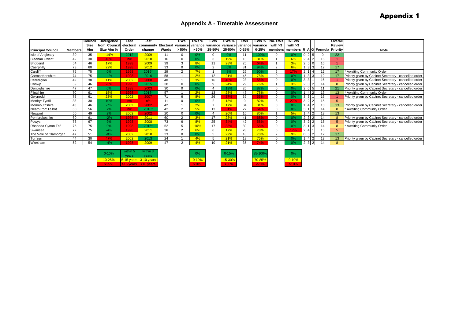#### **Appendix A - Timetable Assessment**

|                          |                | Counci | <b>Divergence</b> | Last      | Last                                                                                    |       | EWs      | EWs $\%$ | EWs      | EWs %  | EWs       | EWs %     | l No. EWs | $%$ EWs                                            |                |    | <b>Overal</b>   |                                                       |
|--------------------------|----------------|--------|-------------------|-----------|-----------------------------------------------------------------------------------------|-------|----------|----------|----------|--------|-----------|-----------|-----------|----------------------------------------------------|----------------|----|-----------------|-------------------------------------------------------|
|                          |                | Size   | rom Council       | electoral | community   Electoral   variance   variance   variance   variance   variance   variance |       |          |          |          |        |           |           | with $>3$ | with $>3$                                          |                |    | <b>Review</b>   |                                                       |
| <b>Principal Council</b> | <b>Members</b> | Aim    | Size Aim %        | Order     | change                                                                                  | Wards | $> 50\%$ | $> 50\%$ | 25-50%   | 25-50% | $0 - 25%$ | $0 - 25%$ |           | members   members   R   A   G   Formula   Priority |                |    |                 | Note                                                  |
| <b>Isle of Anglesey</b>  | 30             | 35     | $-14%$            | 2012      | 2009                                                                                    | 11    |          | 0%       |          |        |           |           |           | 0%                                                 |                |    | 22              |                                                       |
| <b>Blaenau Gwent</b>     | 42             | 30     | 40%               | n/c       | 2010                                                                                    | 16    |          | 0%       |          | 19%    | 13        | 81%       |           | 6%                                                 |                | 16 |                 |                                                       |
| Bridgend                 | 54             | 46     | 17%               | 1998      | 2009                                                                                    | 39    |          | 8%       |          | 28%    | 25        | 64%       |           |                                                    |                | 16 |                 |                                                       |
| Caerphilly               | 73             | 60     | 22%               | 1998      | 2012                                                                                    | 33    |          | 0%       |          | 6%     | 31        | 94%       |           | 6%                                                 |                | 12 | 17              |                                                       |
| Cardiff                  | 75             | 75     | 0%                | 1998      | 2016*                                                                                   | 29    |          | 7%       |          | 3%     | 26        | 90%       |           | <b>17%</b>                                         |                | 12 | 17              | * Awaiting Community Order                            |
| Carmarthenshire          | 74             | 75     | $-1%$             | 1998      | 2016                                                                                    | 58    |          | 2%       | 12       | 21%    | 45        | 78%       |           | ገ%                                                 |                | 12 | 17              | Priority given by Cabinet Secretary - cancelled order |
| Ceredigion               | 42             | 38     | 11%               | 2002      | 2000                                                                                    | 40    |          | 3%       | 16       | 40%    | 23        | 58%       |           |                                                    |                | 16 |                 | Priority given by Cabinet Secretary - cancelled order |
| Conwy                    | 59             |        | 28%               | 1998      | 2015                                                                                    | 38    |          | 0%       | $\Omega$ | 24%    | 29        | 76%       |           | 3%                                                 |                |    | $\mathbf{R}$    | Priority given by Cabinet Secretary - cancelled order |
| Denbighshire             | 47             | 47     | 0%                | 1998      | 2003                                                                                    | 30    |          | 0%       |          | 13%    | 26        | 87%       |           |                                                    |                |    | 21              | Priority given by Cabinet Secretary - cancelled order |
| Flintshire               | 70             | 61     | 15%               | 1998      | 2016*                                                                                   | 57    |          | 2%       | 13       | 23%    |           | 75%       |           | ገ%                                                 |                | 13 | 13              | * Awaiting Community Order                            |
| Gwynedd                  | 75             | 61     | 23%               | 2002      | 2007                                                                                    | 71    |          | 8%       | 26       | 37%    | 39        | 55%       |           |                                                    | 3 <sup>1</sup> | 16 |                 | Priority given by Cabinet Secretary - cancelled order |
| Merthyr Tydfil           | 33             | 30     | 10%               | n/c       | n/c                                                                                     | 11    |          | በ%       | $\sim$   | 18%    |           | 82%       | $\sim$    | 27%                                                | $3^{\circ}$    | 15 | 5               |                                                       |
| Monmouthshire            | 43             | 46     | $-7%$             | 2002      | 2002                                                                                    | 42    |          | 2%       |          | 17%    | 34        | 81%       |           |                                                    |                | 13 | 13 <sup>1</sup> | Priority given by Cabinet Secretary - cancelled order |
| Neath Port Talbot        | 60             | 56     | 7%                | n/c       | 2016*                                                                                   | 42    |          | 5%       | 13       | 31%    | 27        | 64%       |           |                                                    |                |    |                 | * Awaiting Community Order                            |
| Newport                  | 50             | 49     | 2%                | 2002      | 2002                                                                                    | 20    |          | 0%       |          | 20%    | 16        | 80%       |           | 5%                                                 |                | 13 | 13 <sup>2</sup> |                                                       |
| Pembrokeshire            | 60             | 61     | $-2%$             | 1998      | 2011                                                                                    | 60    |          | 3%       |          | 28%    |           |           |           |                                                    |                |    | $\mathbf{R}$    | Priority given by Cabinet Secretary - cancelled order |
| Powys                    | 73             | 67     | 9%                | 1998      | 2008                                                                                    | 73    |          | 8%       | 25       | 34%    | 42        | 58%       |           | 0%                                                 |                | 15 |                 | Priority given by Cabinet Secretary - cancelled order |
| Rhondda Cynon Taf        | 75             | 75     | 0%                | 1998      | 2016*                                                                                   | 52    |          | 10%      | 17       | 33%    | 30        | 58%       |           |                                                    |                | 14 | 8               | * Awaiting Community Order                            |
| Swansea                  | 72             | 75     | $-4%$             | 1998      | 2011                                                                                    | 36    | $\sim$   | 6%       |          | 17%    | 28        | 78%       |           | 17%                                                |                | 15 |                 |                                                       |
| The Vale of Glamorgan    | 47             | 51     | $-8%$             | 2002      | 2010                                                                                    | 23    |          | 0%       |          | 22%    | 18        | 78%       | $\sim$    | 9%                                                 |                | 12 | 17              |                                                       |
| Torfaen                  | 44             | 30     | 47%               | 2002      | 2013                                                                                    | 24    |          | 4%       |          | 21%    | 18        | 75%       |           |                                                    |                | 13 | 13 <sup>1</sup> | Priority given by Cabinet Secretary - cancelled order |
| Wrexham                  | 52             | 54     | $-4%$             | 998       | 2009                                                                                    | 47    | ົ        | 4%       | 10       | 21%    | 35        | 74%       |           |                                                    | $2^{\circ}$    | 14 | 8               |                                                       |

|  | $0 - 10%$  | within 5    | within 3              | 0%        | $0 - 15%$  | 85-100% | 0%         |
|--|------------|-------------|-----------------------|-----------|------------|---------|------------|
|  | vears      | vears       |                       |           |            |         |            |
|  | $10 - 25%$ |             | 5-15 years 3-10 years | $0 - 10%$ | $15 - 30%$ | 70-85%  | $0 - 10%$  |
|  | $\sim$ 25% | $>15$ vears | $>10$ vears           | 510%      | $>30\%$    | <70%    | <b>10%</b> |

| 0% | 5-1 |
|----|-----|
|    |     |

| 85-100% | 0%        |
|---------|-----------|
| 70-85%  | $0 - 10'$ |
|         |           |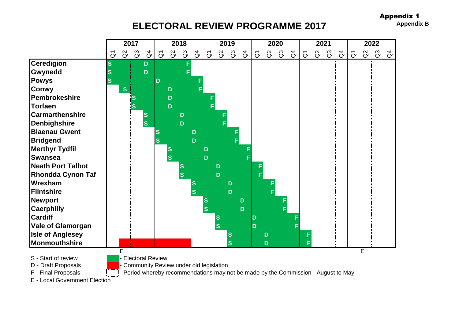**ELECTORAL REVIEW PROGRAMME 2017 Appendix B** 



E - Local Government Election

Appendix 1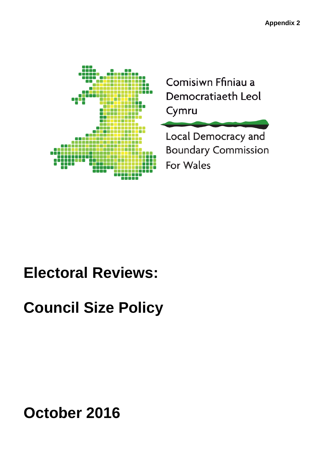

Comisiwn Ffiniau a Democratiaeth Leol Cymru

Local Democracy and **Boundary Commission** For Wales

## **Electoral Reviews:**

## **Council Size Policy**

**October 2016**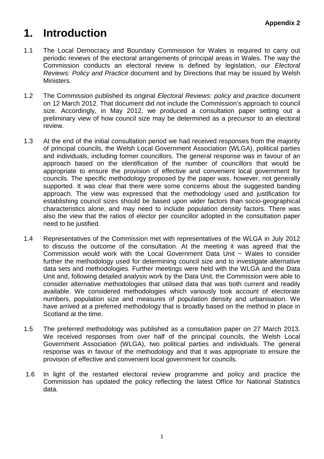### **1. Introduction**

- 1.1 The Local Democracy and Boundary Commission for Wales is required to carry out periodic reviews of the electoral arrangements of principal areas in Wales. The way the Commission conducts an electoral review is defined by legislation, our *Electoral Reviews: Policy and Practice* document and by Directions that may be issued by Welsh Ministers.
- 1.2 The Commission published its original *Electoral Reviews: policy and practice* document on 12 March 2012. That document did not include the Commission's approach to council size. Accordingly, in May 2012, we produced a consultation paper setting out a preliminary view of how council size may be determined as a precursor to an electoral review.
- 1.3 At the end of the initial consultation period we had received responses from the majority of principal councils, the Welsh Local Government Association (WLGA), political parties and individuals, including former councillors. The general response was in favour of an approach based on the identification of the number of councillors that would be appropriate to ensure the provision of effective and convenient local government for councils. The specific methodology proposed by the paper was, however, not generally supported. It was clear that there were some concerns about the suggested banding approach. The view was expressed that the methodology used and justification for establishing council sizes should be based upon wider factors than socio-geographical characteristics alone, and may need to include population density factors. There was also the view that the ratios of elector per councillor adopted in the consultation paper need to be justified.
- 1.4 Representatives of the Commission met with representatives of the WLGA in July 2012 to discuss the outcome of the consultation. At the meeting it was agreed that the Commission would work with the Local Government Data Unit ~ Wales to consider further the methodology used for determining council size and to investigate alternative data sets and methodologies. Further meetings were held with the WLGA and the Data Unit and, following detailed analysis work by the Data Unit, the Commission were able to consider alternative methodologies that utilised data that was both current and readily available. We considered methodologies which variously took account of electorate numbers, population size and measures of population density and urbanisation. We have arrived at a preferred methodology that is broadly based on the method in place in Scotland at the time.
- 1.5 The preferred methodology was published as a consultation paper on 27 March 2013. We received responses from over half of the principal councils, the Welsh Local Government Association (WLGA), two political parties and individuals. The general response was in favour of the methodology and that it was appropriate to ensure the provision of effective and convenient local government for councils.
- 1.6 In light of the restarted electoral review programme and policy and practice the Commission has updated the policy reflecting the latest Office for National Statistics data.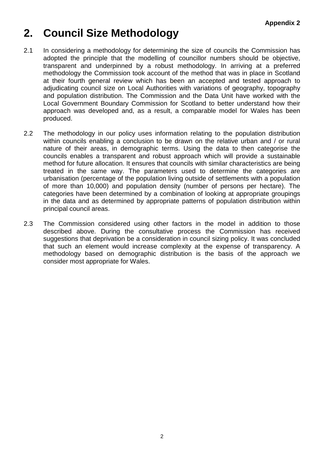### **2. Council Size Methodology**

- 2.1 In considering a methodology for determining the size of councils the Commission has adopted the principle that the modelling of councillor numbers should be objective, transparent and underpinned by a robust methodology. In arriving at a preferred methodology the Commission took account of the method that was in place in Scotland at their fourth general review which has been an accepted and tested approach to adjudicating council size on Local Authorities with variations of geography, topography and population distribution. The Commission and the Data Unit have worked with the Local Government Boundary Commission for Scotland to better understand how their approach was developed and, as a result, a comparable model for Wales has been produced.
- 2.2 The methodology in our policy uses information relating to the population distribution within councils enabling a conclusion to be drawn on the relative urban and / or rural nature of their areas, in demographic terms. Using the data to then categorise the councils enables a transparent and robust approach which will provide a sustainable method for future allocation. It ensures that councils with similar characteristics are being treated in the same way. The parameters used to determine the categories are urbanisation (percentage of the population living outside of settlements with a population of more than 10,000) and population density (number of persons per hectare). The categories have been determined by a combination of looking at appropriate groupings in the data and as determined by appropriate patterns of population distribution within principal council areas.
- 2.3 The Commission considered using other factors in the model in addition to those described above. During the consultative process the Commission has received suggestions that deprivation be a consideration in council sizing policy. It was concluded that such an element would increase complexity at the expense of transparency. A methodology based on demographic distribution is the basis of the approach we consider most appropriate for Wales.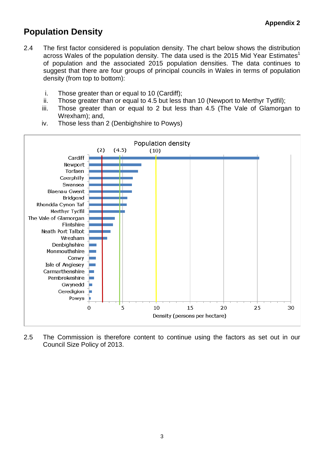### **Population Density**

- 2.4 The first factor considered is population density. The chart below shows the distribution across Wales of the population density. The data used is the 2015 Mid Year Estimates<sup>1</sup> of population and the associated 2015 population densities. The data continues to suggest that there are four groups of principal councils in Wales in terms of population density (from top to bottom):
	- i. Those greater than or equal to 10 (Cardiff);
	- ii. Those greater than or equal to 4.5 but less than 10 (Newport to Merthyr Tydfil);
	- iii. Those greater than or equal to 2 but less than 4.5 (The Vale of Glamorgan to Wrexham); and,
	- iv. Those less than 2 (Denbighshire to Powys)



2.5 The Commission is therefore content to continue using the factors as set out in our Council Size Policy of 2013.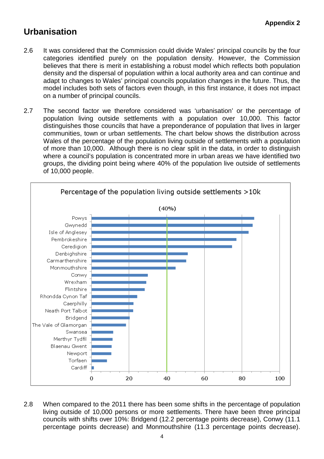### **Urbanisation**

- 2.6 It was considered that the Commission could divide Wales' principal councils by the four categories identified purely on the population density. However, the Commission believes that there is merit in establishing a robust model which reflects both population density and the dispersal of population within a local authority area and can continue and adapt to changes to Wales' principal councils population changes in the future. Thus, the model includes both sets of factors even though, in this first instance, it does not impact on a number of principal councils.
- 2.7 The second factor we therefore considered was 'urbanisation' or the percentage of population living outside settlements with a population over 10,000. This factor distinguishes those councils that have a preponderance of population that lives in larger communities, town or urban settlements. The chart below shows the distribution across Wales of the percentage of the population living outside of settlements with a population of more than 10,000. Although there is no clear split in the data, in order to distinguish where a council's population is concentrated more in urban areas we have identified two groups, the dividing point being where 40% of the population live outside of settlements of 10,000 people.



2.8 When compared to the 2011 there has been some shifts in the percentage of population living outside of 10,000 persons or more settlements. There have been three principal councils with shifts over 10%: Bridgend (12.2 percentage points decrease), Conwy (11.1 percentage points decrease) and Monmouthshire (11.3 percentage points decrease).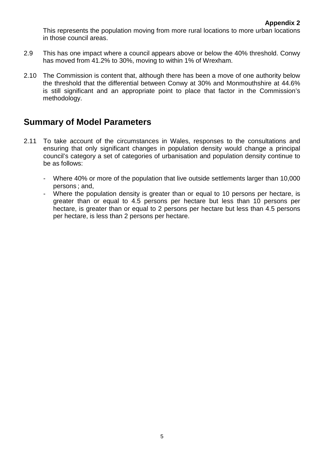This represents the population moving from more rural locations to more urban locations in those council areas.

- 2.9 This has one impact where a council appears above or below the 40% threshold. Conwy has moved from 41.2% to 30%, moving to within 1% of Wrexham.
- 2.10 The Commission is content that, although there has been a move of one authority below the threshold that the differential between Conwy at 30% and Monmouthshire at 44.6% is still significant and an appropriate point to place that factor in the Commission's methodology.

### **Summary of Model Parameters**

- 2.11 To take account of the circumstances in Wales, responses to the consultations and ensuring that only significant changes in population density would change a principal council's category a set of categories of urbanisation and population density continue to be as follows:
	- Where 40% or more of the population that live outside settlements larger than 10,000 persons ; and,
	- Where the population density is greater than or equal to 10 persons per hectare, is greater than or equal to 4.5 persons per hectare but less than 10 persons per hectare, is greater than or equal to 2 persons per hectare but less than 4.5 persons per hectare, is less than 2 persons per hectare.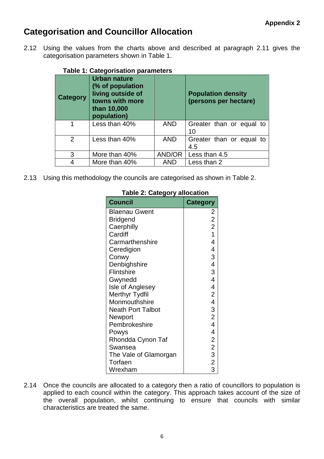### **Categorisation and Councillor Allocation**

<span id="page-26-0"></span>2.12 Using the values from the charts above and described at paragraph 2.11 gives the categorisation parameters shown in [Table 1.](#page-26-0)

|                 | rable 1. Calegorisation parameters                                                                            |            |                                                    |
|-----------------|---------------------------------------------------------------------------------------------------------------|------------|----------------------------------------------------|
| <b>Category</b> | <b>Urban nature</b><br>(% of population<br>living outside of<br>towns with more<br>than 10,000<br>population) |            | <b>Population density</b><br>(persons per hectare) |
| 1               | Less than 40%                                                                                                 | <b>AND</b> | Greater than or equal to<br>10                     |
| $\overline{2}$  | Less than 40%                                                                                                 | <b>AND</b> | Greater than or equal to<br>4.5                    |
| 3               | More than 40%                                                                                                 | AND/OR     | Less than 4.5                                      |
| 4               | More than 40%                                                                                                 | <b>AND</b> | Less than 2                                        |

### **Table 1: Categorisation parameters**

2.13 Using this methodology the councils are categorised as shown in [Table 2](#page-29-0).

| <b>Council</b>           | <b>Category</b>         |
|--------------------------|-------------------------|
| <b>Blaenau Gwent</b>     | 2                       |
| <b>Bridgend</b>          | $\overline{2}$          |
| Caerphilly               | $\overline{2}$          |
| Cardiff                  | $\overline{1}$          |
| Carmarthenshire          | 4                       |
| Ceredigion               | 4                       |
| Conwy                    | 3                       |
| Denbighshire             | 4                       |
| Flintshire               | 3                       |
| Gwynedd                  | 4                       |
| Isle of Anglesey         | 4                       |
| Merthyr Tydfil           | $\overline{2}$          |
| Monmouthshire            | $\overline{\mathbf{4}}$ |
| <b>Neath Port Talbot</b> | 3                       |
| Newport                  | $\overline{2}$          |
| Pembrokeshire            | $\overline{\mathbf{4}}$ |
| Powys                    | 4                       |
| Rhondda Cynon Taf        | $\overline{2}$          |
| Swansea                  |                         |
| The Vale of Glamorgan    | $\frac{2}{3}$           |
| Torfaen                  | $\frac{1}{2}$           |
| Wrexham                  | 3                       |

### **Table 2: Category allocation**

2.14 Once the councils are allocated to a category then a ratio of councillors to population is applied to each council within the category. This approach takes account of the size of the overall population, whilst continuing to ensure that councils with similar characteristics are treated the same.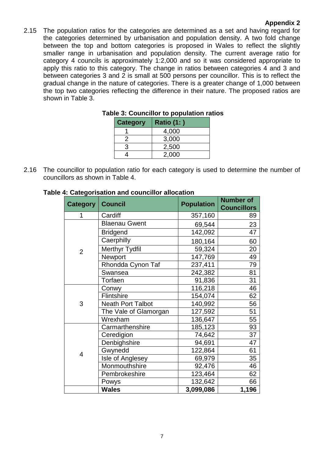### **Appendix 2**

2.15 The population ratios for the categories are determined as a set and having regard for the categories determined by urbanisation and population density. A two fold change between the top and bottom categories is proposed in Wales to reflect the slightly smaller range in urbanisation and population density. The current average ratio for category 4 councils is approximately 1:2,000 and so it was considered appropriate to apply this ratio to this category. The change in ratios between categories 4 and 3 and between categories 3 and 2 is small at 500 persons per councillor. This is to reflect the gradual change in the nature of categories. There is a greater change of 1,000 between the top two categories reflecting the difference in their nature. The proposed ratios are shown in [Table 3.](#page-27-0)

| <b>Category</b> | <b>Ratio (1:)</b> |
|-----------------|-------------------|
|                 | 4,000             |
|                 | 3,000             |
|                 | 2,500             |
|                 | 2,000             |
|                 |                   |

### **Table 3: Councillor to population ratios**

<span id="page-27-0"></span>2.16 The councillor to population ratio for each category is used to determine the number of councillors as shown in [Table 4](#page-29-0).

| <b>Category   Council</b> |                          | <b>Population</b> | <b>Number of</b><br><b>Councillors</b> |
|---------------------------|--------------------------|-------------------|----------------------------------------|
| 1                         | Cardiff                  | 357,160           | 89                                     |
|                           | <b>Blaenau Gwent</b>     | 69,544            | 23                                     |
|                           | <b>Bridgend</b>          | 142,092           | 47                                     |
|                           | Caerphilly               | 180,164           | 60                                     |
| $\overline{2}$            | <b>Merthyr Tydfil</b>    | 59,324            | 20                                     |
|                           | Newport                  | 147,769           | 49                                     |
|                           | Rhondda Cynon Taf        | 237,411           | 79                                     |
|                           | Swansea                  | 242,382           | 81                                     |
|                           | Torfaen                  | 91,836            | 31                                     |
|                           | Conwy                    | 116,218           | 46                                     |
|                           | Flintshire               | 154,074           | 62                                     |
| 3                         | <b>Neath Port Talbot</b> | 140,992           | 56                                     |
|                           | The Vale of Glamorgan    | 127,592           | 51                                     |
|                           | Wrexham                  | 136,647           | 55                                     |
|                           | Carmarthenshire          | 185,123           | 93                                     |
|                           | Ceredigion               | 74,642            | 37                                     |
|                           | Denbighshire             | 94,691            | 47                                     |
| $\overline{4}$            | Gwynedd                  | 122,864           | 61                                     |
|                           | Isle of Anglesey         | 69,979            | 35                                     |
|                           | Monmouthshire            | 92,476            | 46                                     |
|                           | Pembrokeshire            | 123,464           | 62                                     |
|                           | Powys                    | 132,642           | 66                                     |
|                           | <b>Wales</b>             | 3,099,086         | 1,196                                  |

### **Table 4: Categorisation and councillor allocation**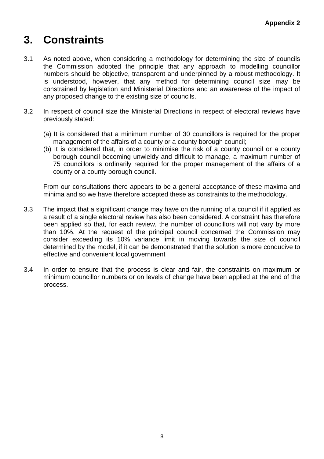### **3. Constraints**

- 3.1 As noted above, when considering a methodology for determining the size of councils the Commission adopted the principle that any approach to modelling councillor numbers should be objective, transparent and underpinned by a robust methodology. It is understood, however, that any method for determining council size may be constrained by legislation and Ministerial Directions and an awareness of the impact of any proposed change to the existing size of councils.
- 3.2 In respect of council size the Ministerial Directions in respect of electoral reviews have previously stated:
	- (a) It is considered that a minimum number of 30 councillors is required for the proper management of the affairs of a county or a county borough council;
	- (b) It is considered that, in order to minimise the risk of a county council or a county borough council becoming unwieldy and difficult to manage, a maximum number of 75 councillors is ordinarily required for the proper management of the affairs of a county or a county borough council.

From our consultations there appears to be a general acceptance of these maxima and minima and so we have therefore accepted these as constraints to the methodology.

- 3.3 The impact that a significant change may have on the running of a council if it applied as a result of a single electoral review has also been considered. A constraint has therefore been applied so that, for each review, the number of councillors will not vary by more than 10%. At the request of the principal council concerned the Commission may consider exceeding its 10% variance limit in moving towards the size of council determined by the model, if it can be demonstrated that the solution is more conducive to effective and convenient local government
- 3.4 In order to ensure that the process is clear and fair, the constraints on maximum or minimum councillor numbers or on levels of change have been applied at the end of the process.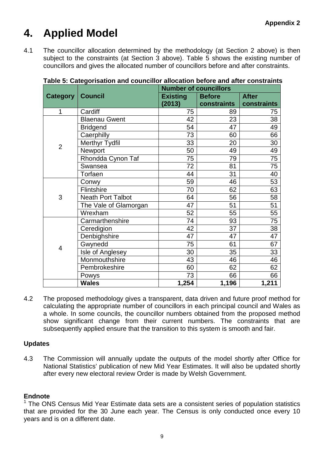### **4. Applied Model**

4.1 The councillor allocation determined by the methodology (at Section 2 above) is then subject to the constraints (at Section 3 above). Table 5 shows the existing number of councillors and gives the allocated number of councillors before and after constraints.

|                 |                          | <b>Number of councillors</b> |                                                                                                                                               |              |  |  |  |  |
|-----------------|--------------------------|------------------------------|-----------------------------------------------------------------------------------------------------------------------------------------------|--------------|--|--|--|--|
| <b>Category</b> | <b>Council</b>           | <b>Existing</b>              | <b>Before</b>                                                                                                                                 | <b>After</b> |  |  |  |  |
|                 |                          | (2013)                       | constraints                                                                                                                                   | constraints  |  |  |  |  |
| 1               | Cardiff                  | 75                           | 89                                                                                                                                            | 75           |  |  |  |  |
|                 | <b>Blaenau Gwent</b>     | 42                           | 23                                                                                                                                            | 38           |  |  |  |  |
|                 | <b>Bridgend</b>          | 54                           | 47                                                                                                                                            | 49           |  |  |  |  |
|                 | Caerphilly               |                              | 60                                                                                                                                            | 66           |  |  |  |  |
| $\overline{2}$  | Merthyr Tydfil           | 33                           | 20                                                                                                                                            | 30           |  |  |  |  |
|                 | Newport                  | 50                           | 49                                                                                                                                            | 49           |  |  |  |  |
|                 | Rhondda Cynon Taf        | 75                           | 79                                                                                                                                            | 75           |  |  |  |  |
|                 | Swansea                  | 72                           |                                                                                                                                               | 75           |  |  |  |  |
|                 | Torfaen                  | 44                           | 31                                                                                                                                            | 40           |  |  |  |  |
|                 | Conwy                    | 59                           | 46                                                                                                                                            | 53           |  |  |  |  |
|                 | Flintshire               | 70                           | 62                                                                                                                                            | 63           |  |  |  |  |
| 3               | <b>Neath Port Talbot</b> | 64                           | 56                                                                                                                                            | 58           |  |  |  |  |
|                 | The Vale of Glamorgan    | 47                           | 51                                                                                                                                            | 51           |  |  |  |  |
|                 | Wrexham                  | 52                           | 73<br>$\overline{81}$<br>55<br>74<br>93<br>42<br>37<br>47<br>47<br>61<br>75<br>30<br>35<br>46<br>43<br>62<br>60<br>73<br>66<br>1,254<br>1,196 | 55           |  |  |  |  |
|                 | Carmarthenshire          |                              |                                                                                                                                               | 75           |  |  |  |  |
|                 | Ceredigion               |                              |                                                                                                                                               | 38           |  |  |  |  |
|                 | Denbighshire             |                              |                                                                                                                                               | 47           |  |  |  |  |
| $\overline{4}$  | Gwynedd                  |                              |                                                                                                                                               | 67           |  |  |  |  |
|                 | Isle of Anglesey         |                              |                                                                                                                                               | 33           |  |  |  |  |
|                 | Monmouthshire            |                              |                                                                                                                                               | 46           |  |  |  |  |
|                 | Pembrokeshire            |                              |                                                                                                                                               | 62           |  |  |  |  |
|                 | Powys                    |                              |                                                                                                                                               | 66           |  |  |  |  |
|                 | <b>Wales</b>             |                              |                                                                                                                                               | 1,211        |  |  |  |  |

<span id="page-29-0"></span>**Table 5: Categorisation and councillor allocation before and after constraints**

4.2 The proposed methodology gives a transparent, data driven and future proof method for calculating the appropriate number of councillors in each principal council and Wales as a whole. In some councils, the councillor numbers obtained from the proposed method show significant change from their current numbers. The constraints that are subsequently applied ensure that the transition to this system is smooth and fair.

### **Updates**

4.3 The Commission will annually update the outputs of the model shortly after Office for National Statistics' publication of new Mid Year Estimates. It will also be updated shortly after every new electoral review Order is made by Welsh Government.

### **Endnote**

 $1$  The ONS Census Mid Year Estimate data sets are a consistent series of population statistics that are provided for the 30 June each year. The Census is only conducted once every 10 years and is on a different date.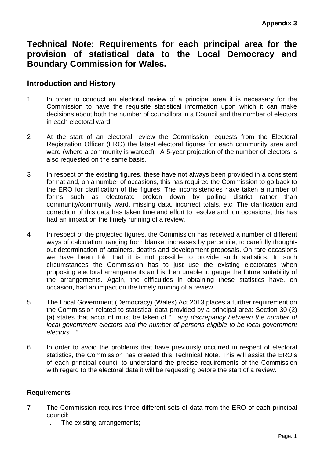### **Technical Note: Requirements for each principal area for the provision of statistical data to the Local Democracy and Boundary Commission for Wales.**

### **Introduction and History**

- 1 In order to conduct an electoral review of a principal area it is necessary for the Commission to have the requisite statistical information upon which it can make decisions about both the number of councillors in a Council and the number of electors in each electoral ward.
- 2 At the start of an electoral review the Commission requests from the Electoral Registration Officer (ERO) the latest electoral figures for each community area and ward (where a community is warded). A 5-year projection of the number of electors is also requested on the same basis.
- 3 In respect of the existing figures, these have not always been provided in a consistent format and, on a number of occasions, this has required the Commission to go back to the ERO for clarification of the figures. The inconsistencies have taken a number of forms such as electorate broken down by polling district rather than community/community ward, missing data, incorrect totals, etc. The clarification and correction of this data has taken time and effort to resolve and, on occasions, this has had an impact on the timely running of a review.
- 4 In respect of the projected figures, the Commission has received a number of different ways of calculation, ranging from blanket increases by percentile, to carefully thoughtout determination of attainers, deaths and development proposals. On rare occasions we have been told that it is not possible to provide such statistics. In such circumstances the Commission has to just use the existing electorates when proposing electoral arrangements and is then unable to gauge the future suitability of the arrangements. Again, the difficulties in obtaining these statistics have, on occasion, had an impact on the timely running of a review.
- 5 The Local Government (Democracy) (Wales) Act 2013 places a further requirement on the Commission related to statistical data provided by a principal area: Section 30 (2) (a) states that account must be taken of "*…any discrepancy between the number of local government electors and the number of persons eligible to be local government electors…*"
- 6 In order to avoid the problems that have previously occurred in respect of electoral statistics, the Commission has created this Technical Note. This will assist the ERO's of each principal council to understand the precise requirements of the Commission with regard to the electoral data it will be requesting before the start of a review.

### **Requirements**

- 7 The Commission requires three different sets of data from the ERO of each principal council:
	- i. The existing arrangements;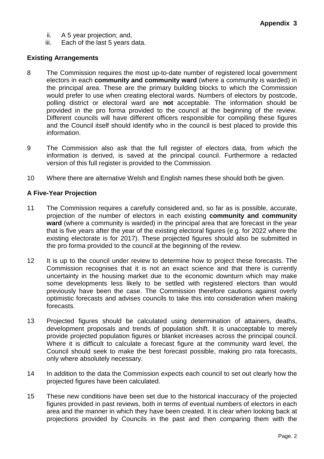- ii. A 5 year projection; and,
- iii. Each of the last 5 years data.

### **Existing Arrangements**

- 8 The Commission requires the most up-to-date number of registered local government electors in each **community and community ward** (where a community is warded) in the principal area. These are the primary building blocks to which the Commission would prefer to use when creating electoral wards. Numbers of electors by postcode, polling district or electoral ward are **not** acceptable. The information should be provided in the pro forma provided to the council at the beginning of the review. Different councils will have different officers responsible for compiling these figures and the Council itself should identify who in the council is best placed to provide this information.
- 9 The Commission also ask that the full register of electors data, from which the information is derived, is saved at the principal council. Furthermore a redacted version of this full register is provided to the Commission.
- 10 Where there are alternative Welsh and English names these should both be given.

### **A Five-Year Projection**

- 11 The Commission requires a carefully considered and, so far as is possible, accurate, projection of the number of electors in each existing **community and community ward** (where a community is warded) in the principal area that are forecast in the year that is five years after the year of the existing electoral figures (e.g. for 2022 where the existing electorate is for 2017). These projected figures should also be submitted in the pro forma provided to the council at the beginning of the review.
- 12 It is up to the council under review to determine how to project these forecasts. The Commission recognises that it is not an exact science and that there is currently uncertainty in the housing market due to the economic downturn which may make some developments less likely to be settled with registered electors than would previously have been the case. The Commission therefore cautions against overly optimistic forecasts and advises councils to take this into consideration when making forecasts.
- 13 Projected figures should be calculated using determination of attainers, deaths, development proposals and trends of population shift. It is unacceptable to merely provide projected population figures or blanket increases across the principal council. Where it is difficult to calculate a forecast figure at the community ward level, the Council should seek to make the best forecast possible, making pro rata forecasts, only where absolutely necessary.
- 14 In addition to the data the Commission expects each council to set out clearly how the projected figures have been calculated.
- 15 These new conditions have been set due to the historical inaccuracy of the projected figures provided in past reviews, both in terms of eventual numbers of electors in each area and the manner in which they have been created. It is clear when looking back at projections provided by Councils in the past and then comparing them with the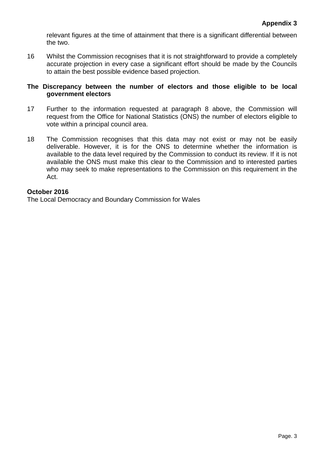relevant figures at the time of attainment that there is a significant differential between the two.

16 Whilst the Commission recognises that it is not straightforward to provide a completely accurate projection in every case a significant effort should be made by the Councils to attain the best possible evidence based projection.

### **The Discrepancy between the number of electors and those eligible to be local government electors**

- 17 Further to the information requested at paragraph 8 above, the Commission will request from the Office for National Statistics (ONS) the number of electors eligible to vote within a principal council area.
- 18 The Commission recognises that this data may not exist or may not be easily deliverable. However, it is for the ONS to determine whether the information is available to the data level required by the Commission to conduct its review. If it is not available the ONS must make this clear to the Commission and to interested parties who may seek to make representations to the Commission on this requirement in the Act.

### **October 2016**

The Local Democracy and Boundary Commission for Wales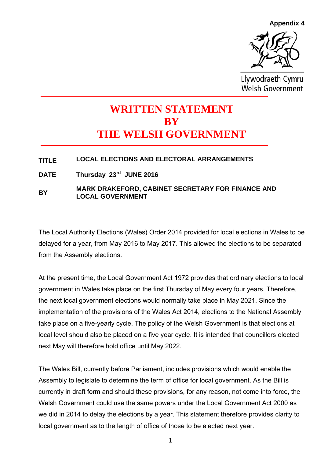**Appendix 4**



Llywodraeth Cymru Welsh Government

### **WRITTEN STATEMENT BY THE WELSH GOVERNMENT**

### **TITLE LOCAL ELECTIONS AND ELECTORAL ARRANGEMENTS**

**DATE Thursday 23rd JUNE 2016**

### **BY MARK DRAKEFORD, CABINET SECRETARY FOR FINANCE AND LOCAL GOVERNMENT**

The Local Authority Elections (Wales) Order 2014 provided for local elections in Wales to be delayed for a year, from May 2016 to May 2017. This allowed the elections to be separated from the Assembly elections.

At the present time, the Local Government Act 1972 provides that ordinary elections to local government in Wales take place on the first Thursday of May every four years. Therefore, the next local government elections would normally take place in May 2021. Since the implementation of the provisions of the Wales Act 2014, elections to the National Assembly take place on a five-yearly cycle. The policy of the Welsh Government is that elections at local level should also be placed on a five year cycle. It is intended that councillors elected next May will therefore hold office until May 2022.

The Wales Bill, currently before Parliament, includes provisions which would enable the Assembly to legislate to determine the term of office for local government. As the Bill is currently in draft form and should these provisions, for any reason, not come into force, the Welsh Government could use the same powers under the Local Government Act 2000 as we did in 2014 to delay the elections by a year. This statement therefore provides clarity to local government as to the length of office of those to be elected next year.